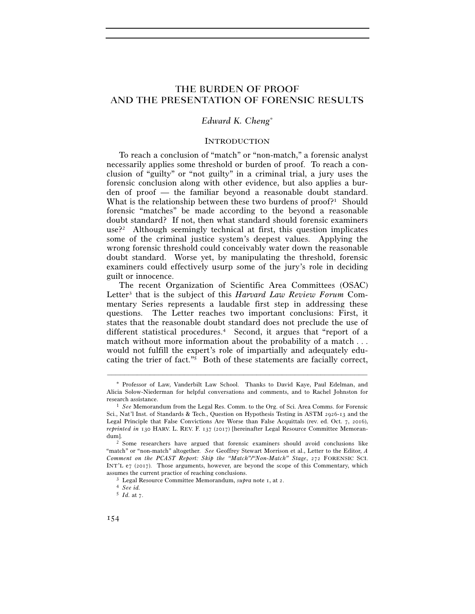# THE BURDEN OF PROOF AND THE PRESENTATION OF FORENSIC RESULTS

## *Edward K. Cheng*<sup>∗</sup>

#### **INTRODUCTION**

To reach a conclusion of "match" or "non-match," a forensic analyst necessarily applies some threshold or burden of proof. To reach a conclusion of "guilty" or "not guilty" in a criminal trial, a jury uses the forensic conclusion along with other evidence, but also applies a burden of proof — the familiar beyond a reasonable doubt standard. What is the relationship between these two burdens of proof?<sup>1</sup> Should forensic "matches" be made according to the beyond a reasonable doubt standard? If not, then what standard should forensic examiners use?2 Although seemingly technical at first, this question implicates some of the criminal justice system's deepest values. Applying the wrong forensic threshold could conceivably water down the reasonable doubt standard. Worse yet, by manipulating the threshold, forensic examiners could effectively usurp some of the jury's role in deciding guilt or innocence.

The recent Organization of Scientific Area Committees (OSAC) Letter3 that is the subject of this *Harvard Law Review Forum* Commentary Series represents a laudable first step in addressing these questions. The Letter reaches two important conclusions: First, it states that the reasonable doubt standard does not preclude the use of different statistical procedures.4 Second, it argues that "report of a match without more information about the probability of a match . . . would not fulfill the expert's role of impartially and adequately educating the trier of fact."5 Both of these statements are facially correct,

–––––––––––––––––––––––––––––––––––––––––––––––––––––––––––––

<sup>\*</sup> Professor of Law, Vanderbilt Law School. Thanks to David Kaye, Paul Edelman, and Alicia Solow-Niederman for helpful conversations and comments, and to Rachel Johnston for research assistance. 1 *See* Memorandum from the Legal Res. Comm. to the Org. of Sci. Area Comms. for Forensic

Sci., Nat'l Inst. of Standards & Tech., Question on Hypothesis Testing in ASTM 2926-13 and the Legal Principle that False Convictions Are Worse than False Acquittals (rev. ed. Oct. 7, 2016), *reprinted in* 130 HARV. L. REV. F. 137 (2017) [hereinafter Legal Resource Committee Memorandum].<br><sup>2</sup> Some researchers have argued that forensic examiners should avoid conclusions like

<sup>&</sup>quot;match" or "non-match" altogether. *See* Geoffrey Stewart Morrison et al., Letter to the Editor, *A Comment on the PCAST Report: Skip the "Match"/"Non-Match" Stage*, 272 FORENSIC SCI. INT'L e7 (2017). Those arguments, however, are beyond the scope of this Commentary, which assumes the current practice of reaching conclusions. 3 Legal Resource Committee Memorandum, *supra* note 1, at 2. 4 *See id.*

<sup>5</sup> *Id.* at 7.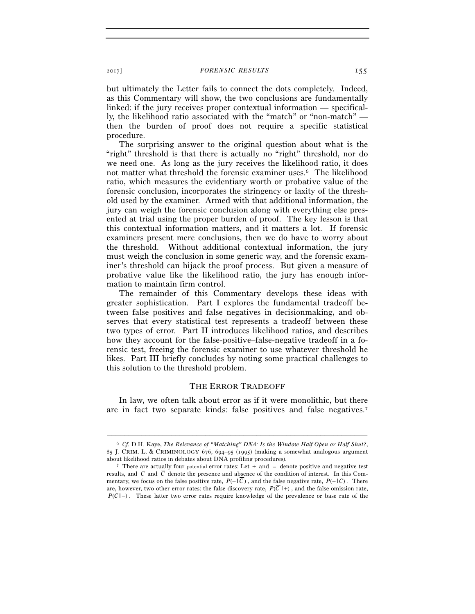but ultimately the Letter fails to connect the dots completely. Indeed, as this Commentary will show, the two conclusions are fundamentally linked: if the jury receives proper contextual information — specifically, the likelihood ratio associated with the "match" or "non-match" then the burden of proof does not require a specific statistical procedure.

The surprising answer to the original question about what is the "right" threshold is that there is actually no "right" threshold, nor do we need one. As long as the jury receives the likelihood ratio, it does not matter what threshold the forensic examiner uses.6 The likelihood ratio, which measures the evidentiary worth or probative value of the forensic conclusion, incorporates the stringency or laxity of the threshold used by the examiner. Armed with that additional information, the jury can weigh the forensic conclusion along with everything else presented at trial using the proper burden of proof. The key lesson is that this contextual information matters, and it matters a lot. If forensic examiners present mere conclusions, then we do have to worry about the threshold. Without additional contextual information, the jury must weigh the conclusion in some generic way, and the forensic examiner's threshold can hijack the proof process. But given a measure of probative value like the likelihood ratio, the jury has enough information to maintain firm control.

The remainder of this Commentary develops these ideas with greater sophistication. Part I explores the fundamental tradeoff between false positives and false negatives in decisionmaking, and observes that every statistical test represents a tradeoff between these two types of error. Part II introduces likelihood ratios, and describes how they account for the false-positive–false-negative tradeoff in a forensic test, freeing the forensic examiner to use whatever threshold he likes. Part III briefly concludes by noting some practical challenges to this solution to the threshold problem.

#### THE ERROR TRADEOFF

In law, we often talk about error as if it were monolithic, but there are in fact two separate kinds: false positives and false negatives.7

–––––––––––––––––––––––––––––––––––––––––––––––––––––––––––––

<sup>6</sup> *Cf.* D.H. Kaye, *The Relevance of "Matching" DNA: Is the Window Half Open or Half Shut?*, 85 J. CRIM. L. & CRIMINOLOGY 676, 694–95 (1995) (making a somewhat analogous argument

<sup>&</sup>lt;sup>7</sup> There are actually four potential error rates: Let + and  $-$  denote positive and negative test results, and *C* and *C* denote the presence and absence of the condition of interest. In this Commentary, we focus on the false positive rate,  $P(+|\overline{C})$ , and the false negative rate,  $P(-|C)$ . There are, however, two other error rates: the false discovery rate,  $P(C \rvert +)$ , and the false omission rate, *P*(*C*|−). These latter two error rates require knowledge of the prevalence or base rate of the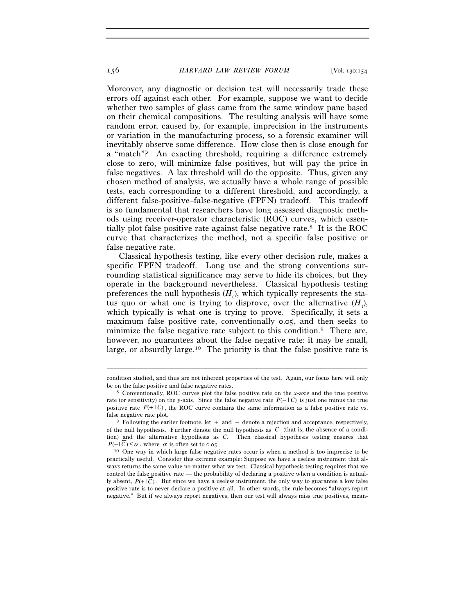Moreover, any diagnostic or decision test will necessarily trade these errors off against each other. For example, suppose we want to decide whether two samples of glass came from the same window pane based on their chemical compositions. The resulting analysis will have some random error, caused by, for example, imprecision in the instruments or variation in the manufacturing process, so a forensic examiner will inevitably observe some difference. How close then is close enough for a "match"? An exacting threshold, requiring a difference extremely close to zero, will minimize false positives, but will pay the price in false negatives. A lax threshold will do the opposite. Thus, given any chosen method of analysis, we actually have a whole range of possible tests, each corresponding to a different threshold, and accordingly, a different false-positive–false-negative (FPFN) tradeoff. This tradeoff is so fundamental that researchers have long assessed diagnostic methods using receiver-operator characteristic (ROC) curves, which essentially plot false positive rate against false negative rate.8 It is the ROC curve that characterizes the method, not a specific false positive or false negative rate.

Classical hypothesis testing, like every other decision rule, makes a specific FPFN tradeoff. Long use and the strong conventions surrounding statistical significance may serve to hide its choices, but they operate in the background nevertheless. Classical hypothesis testing preferences the null hypothesis  $(H_0)$ , which typically represents the status quo or what one is trying to disprove, over the alternative  $(H_1)$ , which typically is what one is trying to prove. Specifically, it sets a maximum false positive rate, conventionally 0.05, and then seeks to minimize the false negative rate subject to this condition.<sup>9</sup> There are, however, no guarantees about the false negative rate: it may be small, large, or absurdly large.10 The priority is that the false positive rate is

<sup>–––––––––––––––––––––––––––––––––––––––––––––––––––––––––––––</sup> condition studied, and thus are not inherent properties of the test. Again, our focus here will only be on the false positive and false negative rates. 8 Conventionally, ROC curves plot the false positive rate on the *x*-axis and the true positive

rate (or sensitivity) on the *y*-axis. Since the false negative rate  $P(- | C)$  is just one minus the true positive rate  $P(+ | C)$ , the ROC curve contains the same information as a false positive rate vs. false negative rate plot. 9 Following the earlier footnote, let + and − denote a rejection and acceptance, respectively,

of the null hypothesis. Further denote the null hypothesis as  $\overline{C}$  (that is, the absence of a condition) and the alternative hypothesis as *C*. Then classical hypothesis testing ensures that *P*(+ | *C*)  $\le \alpha$ , where  $\alpha$  is often set to 0.05. 10 One way in which large false negative rates occur is when a method is too imprecise to be

practically useful. Consider this extreme example: Suppose we have a useless instrument that always returns the same value no matter what we test. Classical hypothesis testing requires that we control the false positive rate — the probability of declaring a positive when a condition is actually absent,  $P(+|\overline{C})$ . But since we have a useless instrument, the only way to guarantee a low false positive rate is to never declare a positive at all. In other words, the rule becomes "always report negative." But if we always report negatives, then our test will always miss true positives, mean-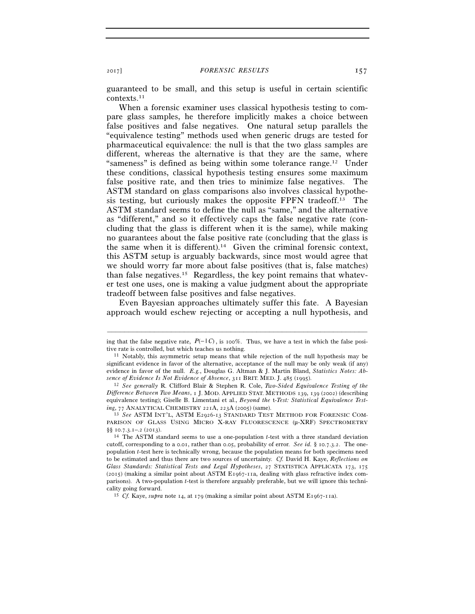guaranteed to be small, and this setup is useful in certain scientific contexts.11

When a forensic examiner uses classical hypothesis testing to compare glass samples, he therefore implicitly makes a choice between false positives and false negatives. One natural setup parallels the "equivalence testing" methods used when generic drugs are tested for pharmaceutical equivalence: the null is that the two glass samples are different, whereas the alternative is that they are the same, where "sameness" is defined as being within some tolerance range.<sup>12</sup> Under these conditions, classical hypothesis testing ensures some maximum false positive rate, and then tries to minimize false negatives. The ASTM standard on glass comparisons also involves classical hypothesis testing, but curiously makes the opposite FPFN tradeoff.<sup>13</sup> The ASTM standard seems to define the null as "same," and the alternative as "different," and so it effectively caps the false negative rate (concluding that the glass is different when it is the same), while making no guarantees about the false positive rate (concluding that the glass is the same when it is different).14 Given the criminal forensic context, this ASTM setup is arguably backwards, since most would agree that we should worry far more about false positives (that is, false matches) than false negatives.15 Regardless, the key point remains that whatever test one uses, one is making a value judgment about the appropriate tradeoff between false positives and false negatives.

Even Bayesian approaches ultimately suffer this fate. A Bayesian approach would eschew rejecting or accepting a null hypothesis, and

<sup>–––––––––––––––––––––––––––––––––––––––––––––––––––––––––––––</sup> ing that the false negative rate, *P*(− | *C*) , is 100%. Thus, we have a test in which the false positive rate is controlled, but which teaches us nothing.<br><sup>11</sup> Notably, this asymmetric setup means that while rejection of the null hypothesis may be

significant evidence in favor of the alternative, acceptance of the null may be only weak (if any) evidence in favor of the null. *E.g.*, Douglas G. Altman & J. Martin Bland, *Statistics Notes: Absence of Evidence Is Not Evidence of Absence*, 311 BRIT. MED. J. 485 (1995). 12 *See generally* R. Clifford Blair & Stephen R. Cole, *Two-Sided Equivalence Testing of the* 

*Difference Between Two Means*, 1 J. MOD. APPLIED STAT. METHODS 139, 139 (2002) (describing equivalence testing); Giselle B. Limentani et al., *Beyond the t-Test: Statistical Equivalence Test-*<br> *ing*, 77 ANALYTICAL CHEMISTRY 221A, 223A (2005) (same).

<sup>&</sup>lt;sup>13</sup> See ASTM INT'L, ASTM E2926-13 STANDARD TEST METHOD FOR FORENSIC COM-PARISON OF GLASS USING MICRO X-RAY FLUORESCENCE (µ-XRF) SPECTROMETRY §§ 10.7.3.1–.2 (2013). 14 The ASTM standard seems to use a one-population *t*-test with a three standard deviation

cutoff, corresponding to a 0.01, rather than 0.05, probability of error. *See id.* § 10.7.3.2. The onepopulation *t*-test here is technically wrong, because the population means for both specimens need to be estimated and thus there are two sources of uncertainty. *Cf.* David H. Kaye, *Reflections on Glass Standards: Statistical Tests and Legal Hypotheses*, 27 STATISTICA APPLICATA 173, 175 (2015) (making a similar point about ASTM E1967-11a, dealing with glass refractive index comparisons). A two-population *t*-test is therefore arguably preferable, but we will ignore this technicality going forward. 15 *Cf.* Kaye, *supra* note 14, at 179 (making a similar point about ASTM E1967-11a).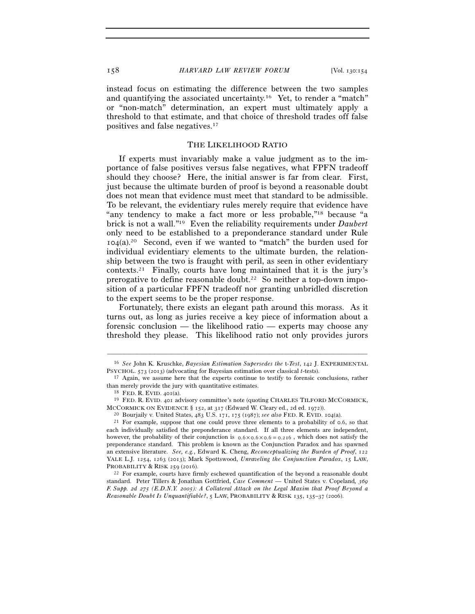instead focus on estimating the difference between the two samples and quantifying the associated uncertainty.16 Yet, to render a "match" or "non-match" determination, an expert must ultimately apply a threshold to that estimate, and that choice of threshold trades off false positives and false negatives.17

### THE LIKELIHOOD RATIO

If experts must invariably make a value judgment as to the importance of false positives versus false negatives, what FPFN tradeoff should they choose? Here, the initial answer is far from clear. First, just because the ultimate burden of proof is beyond a reasonable doubt does not mean that evidence must meet that standard to be admissible. To be relevant, the evidentiary rules merely require that evidence have "any tendency to make a fact more or less probable,"18 because "a brick is not a wall."19 Even the reliability requirements under *Daubert* only need to be established to a preponderance standard under Rule  $104(a).^{20}$  Second, even if we wanted to "match" the burden used for individual evidentiary elements to the ultimate burden, the relationship between the two is fraught with peril, as seen in other evidentiary contexts.21 Finally, courts have long maintained that it is the jury's prerogative to define reasonable doubt.22 So neither a top-down imposition of a particular FPFN tradeoff nor granting unbridled discretion to the expert seems to be the proper response.

Fortunately, there exists an elegant path around this morass. As it turns out, as long as juries receive a key piece of information about a forensic conclusion — the likelihood ratio — experts may choose any threshold they please. This likelihood ratio not only provides jurors

<sup>–––––––––––––––––––––––––––––––––––––––––––––––––––––––––––––</sup> 16 *See* John K. Kruschke, *Bayesian Estimation Supersedes the* t*-Test*, 142 J. EXPERIMENTAL

<sup>&</sup>lt;sup>17</sup> Again, we assume here that the experts continue to testify to forensic conclusions, rather than merely provide the jury with quantitative estimates.<br><sup>18</sup> FED. R. EVID. 401(a). <sup>19</sup> FED. R. EVID. 401 advisory committee's note (quoting CHARLES TILFORD MCCORMICK,

MCCORMICK ON EVIDENCE § 152, at 317 (Edward W. Cleary ed., 2d ed. 1972)).<br><sup>20</sup> Bourjaily v. United States, 483 U.S. 171, 175 (1987); *see also* FED. R. EVID. 104(a).<br><sup>21</sup> For example, suppose that one could prove three el

each individually satisfied the preponderance standard. If all three elements are independent, however, the probability of their conjunction is  $0.6 \times 0.6 \times 0.6 = 0.216$ , which does not satisfy the preponderance standard. This problem is known as the Conjunction Paradox and has spawned an extensive literature. *See, e.g.*, Edward K. Cheng, *Reconceptualizing the Burden of Proof*, 122 YALE L.J. 1254, 1263 (2013); Mark Spottswood, *Unraveling the Conjunction Paradox*, 15 LAW, PROBABILITY & RISK 259 (2016). 22 For example, courts have firmly eschewed quantification of the beyond a reasonable doubt

standard. Peter Tillers & Jonathan Gottfried, *Case Comment —* United States v. Copeland*, 369 F. Supp. 2d 275 (E.D.N.Y. 2005): A Collateral Attack on the Legal Maxim that Proof Beyond a Reasonable Doubt Is Unquantifiable?*, 5 LAW, PROBABILITY & RISK 135, 135–37 (2006).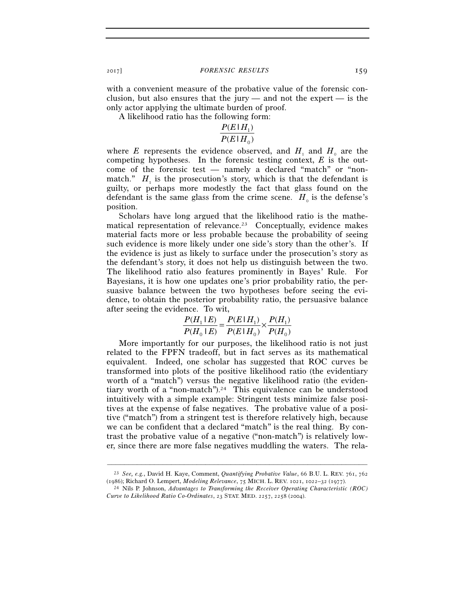with a convenient measure of the probative value of the forensic conclusion, but also ensures that the jury — and not the expert — is the only actor applying the ultimate burden of proof.

A likelihood ratio has the following form:

#### $(E|H_0)$  $(E | H_1)$ 0 1  $P(E|H)$  $P(E|H)$

where *E* represents the evidence observed, and  $H_1$  and  $H_0$  are the competing hypotheses. In the forensic testing context, *E* is the outcome of the forensic test — namely a declared "match" or "nonmatch."  $H_1$  is the prosecution's story, which is that the defendant is guilty, or perhaps more modestly the fact that glass found on the defendant is the same glass from the crime scene.  $H_0$  is the defense's position.

Scholars have long argued that the likelihood ratio is the mathematical representation of relevance.<sup>23</sup> Conceptually, evidence makes material facts more or less probable because the probability of seeing such evidence is more likely under one side's story than the other's. If the evidence is just as likely to surface under the prosecution's story as the defendant's story, it does not help us distinguish between the two. The likelihood ratio also features prominently in Bayes' Rule. For Bayesians, it is how one updates one's prior probability ratio, the persuasive balance between the two hypotheses before seeing the evidence, to obtain the posterior probability ratio, the persuasive balance after seeing the evidence. To wit,

$$
\frac{P(H_1 \mid E)}{P(H_0 \mid E)} = \frac{P(E \mid H_1)}{P(E \mid H_0)} \times \frac{P(H_1)}{P(H_0)}
$$

More importantly for our purposes, the likelihood ratio is not just related to the FPFN tradeoff, but in fact serves as its mathematical equivalent. Indeed, one scholar has suggested that ROC curves be transformed into plots of the positive likelihood ratio (the evidentiary worth of a "match") versus the negative likelihood ratio (the evidentiary worth of a "non-match").24 This equivalence can be understood intuitively with a simple example: Stringent tests minimize false positives at the expense of false negatives. The probative value of a positive ("match") from a stringent test is therefore relatively high, because we can be confident that a declared "match" is the real thing. By contrast the probative value of a negative ("non-match") is relatively lower, since there are more false negatives muddling the waters. The rela-

<sup>–––––––––––––––––––––––––––––––––––––––––––––––––––––––––––––</sup> 23 *See, e.g.*, David H. Kaye, Comment, *Quantifying Probative Value*, 66 B.U. L. REV. 761, 762

<sup>&</sup>lt;sup>24</sup> Nils P. Johnson, *Advantages to Transforming the Receiver Operating Characteristic (ROC) Curve to Likelihood Ratio Co-Ordinates*, 23 STAT. MED. 2257, 2258 (2004).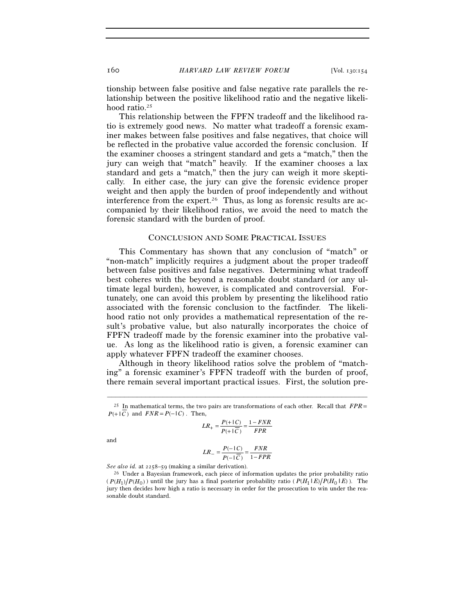tionship between false positive and false negative rate parallels the relationship between the positive likelihood ratio and the negative likelihood ratio.<sup>25</sup>

This relationship between the FPFN tradeoff and the likelihood ratio is extremely good news. No matter what tradeoff a forensic examiner makes between false positives and false negatives, that choice will be reflected in the probative value accorded the forensic conclusion. If the examiner chooses a stringent standard and gets a "match," then the jury can weigh that "match" heavily. If the examiner chooses a lax standard and gets a "match," then the jury can weigh it more skeptically. In either case, the jury can give the forensic evidence proper weight and then apply the burden of proof independently and without interference from the expert.<sup>26</sup> Thus, as long as forensic results are accompanied by their likelihood ratios, we avoid the need to match the forensic standard with the burden of proof.

#### CONCLUSION AND SOME PRACTICAL ISSUES

This Commentary has shown that any conclusion of "match" or "non-match" implicitly requires a judgment about the proper tradeoff between false positives and false negatives. Determining what tradeoff best coheres with the beyond a reasonable doubt standard (or any ultimate legal burden), however, is complicated and controversial. Fortunately, one can avoid this problem by presenting the likelihood ratio associated with the forensic conclusion to the factfinder. The likelihood ratio not only provides a mathematical representation of the result's probative value, but also naturally incorporates the choice of FPFN tradeoff made by the forensic examiner into the probative value. As long as the likelihood ratio is given, a forensic examiner can apply whatever FPFN tradeoff the examiner chooses.

Although in theory likelihood ratios solve the problem of "matching" a forensic examiner's FPFN tradeoff with the burden of proof, there remain several important practical issues. First, the solution pre-

$$
LR_{+} = \frac{P(+ \mid C)}{P(+ \mid C)} = \frac{1 - FNR}{FPR}
$$

and

$$
LR_{-} = \frac{P(-|C)}{P(-|\overline{C})} = \frac{FNR}{1 - FPR}
$$

<sup>–––––––––––––––––––––––––––––––––––––––––––––––––––––––––––––</sup> 25 In mathematical terms, the two pairs are transformations of each other. Recall that *FPR*=  $P(+|\overline{C})$  and  $FNR = P(-|C)$ . Then,

*See also id.* at 2258–59 (making a similar derivation). 26 Under a Bayesian framework, each piece of information updates the prior probability ratio  $(P(H_1)/P(H_0))$  until the jury has a final posterior probability ratio ( $P(H_1 | E)/P(H_0 | E)$ ). The jury then decides how high a ratio is necessary in order for the prosecution to win under the reasonable doubt standard.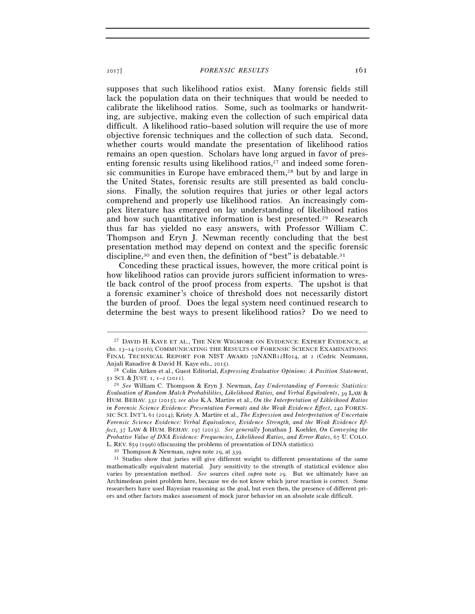<sup>2017</sup>] *FORENSIC RESULTS* 161

supposes that such likelihood ratios exist. Many forensic fields still lack the population data on their techniques that would be needed to calibrate the likelihood ratios. Some, such as toolmarks or handwriting, are subjective, making even the collection of such empirical data difficult. A likelihood ratio–based solution will require the use of more objective forensic techniques and the collection of such data. Second, whether courts would mandate the presentation of likelihood ratios remains an open question. Scholars have long argued in favor of presenting forensic results using likelihood ratios, $27$  and indeed some forensic communities in Europe have embraced them,<sup>28</sup> but by and large in the United States, forensic results are still presented as bald conclusions. Finally, the solution requires that juries or other legal actors comprehend and properly use likelihood ratios. An increasingly complex literature has emerged on lay understanding of likelihood ratios and how such quantitative information is best presented.29 Research thus far has yielded no easy answers, with Professor William C. Thompson and Eryn J. Newman recently concluding that the best presentation method may depend on context and the specific forensic discipline,<sup>30</sup> and even then, the definition of "best" is debatable.<sup>31</sup>

Conceding these practical issues, however, the more critical point is how likelihood ratios can provide jurors sufficient information to wrestle back control of the proof process from experts. The upshot is that a forensic examiner's choice of threshold does not necessarily distort the burden of proof. Does the legal system need continued research to determine the best ways to present likelihood ratios? Do we need to

–––––––––––––––––––––––––––––––––––––––––––––––––––––––––––––

<sup>27</sup> DAVID H. KAYE ET AL., THE NEW WIGMORE ON EVIDENCE: EXPERT EVIDENCE, at chs. 13–14 (2016); COMMUNICATING THE RESULTS OF FORENSIC SCIENCE EXAMINATIONS: FINAL TECHNICAL REPORT FOR NIST AWARD 70NANB12H014, at 2 (Cedric Neumann, Anjali Ranadive & David H. Kaye eds., 2015). 28 Colin Aitken et al., Guest Editorial, *Expressing Evaluative Opinions: A Position Statement*,

<sup>51</sup> SCI. & JUST. 1, 1–2 (2011). 29 *See* William C. Thompson & Eryn J. Newman, *Lay Understanding of Forensic Statistics:* 

*Evaluation of Random Match Probabilities, Likelihood Ratios, and Verbal Equivalents*, 39 LAW & HUM. BEHAV. 332 (2015); *see also* K.A. Martire et al., *On the Interpretation of Likleihood Ratios in Forensic Science Evidence: Presentation Formats and the Weak Evidence Effect*, 240 FOREN-SIC SCI. INT'L 61 (2014); Kristy A. Martire et al., *The Expression and Interpretation of Uncertain Forensic Science Evidence: Verbal Equivalence, Evidence Strength, and the Weak Evidence Effect*, 37 LAW & HUM. BEHAV. 197 (2013). *See generally* Jonathan J. Koehler, *On Conveying the Probative Value of DNA Evidence: Frequencies, Likelihood Ratios, and Error Rates*, 67 U. COLO.

L. REV. 859 (1996) (discussing the problems of presentation of DNA statistics).<br><sup>30</sup> Thompson & Newman, *supra* note 29, at 339.<br><sup>31</sup> Studies show that juries will give different weight to different presentations of the s mathematically equivalent material. Jury sensitivity to the strength of statistical evidence also varies by presentation method. *See* sources cited *supra* note 29. But we ultimately have an Archimedean point problem here, because we do not know which juror reaction is correct. Some researchers have used Bayesian reasoning as the goal, but even then, the presence of different priors and other factors makes assessment of mock juror behavior on an absolute scale difficult.